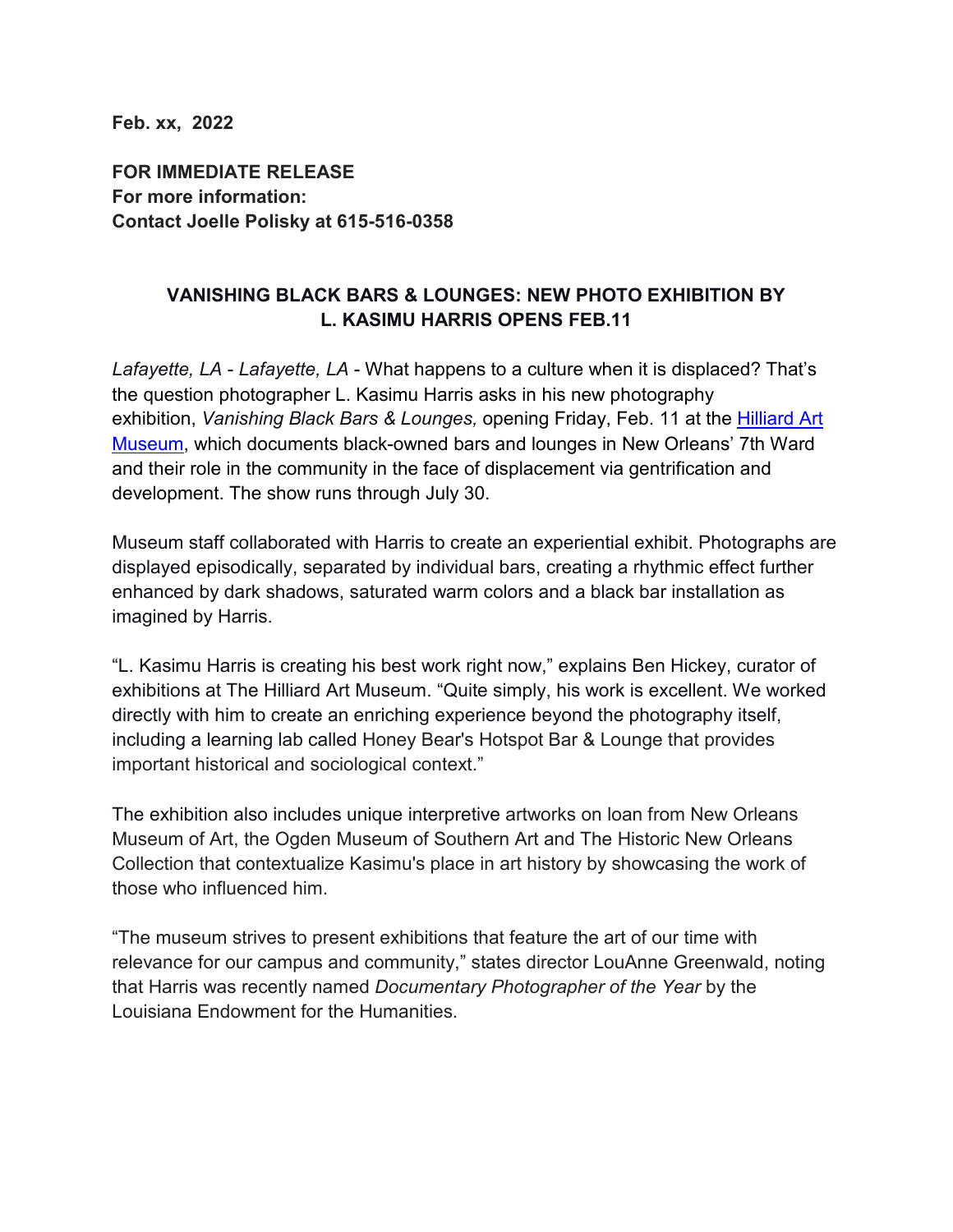**Feb. xx, 2022**

**FOR IMMEDIATE RELEASE For more information: Contact Joelle Polisky at 615-516-0358**

### **VANISHING BLACK BARS & LOUNGES: NEW PHOTO EXHIBITION BY L. KASIMU HARRIS OPENS FEB.11**

*Lafayette, LA* - *Lafayette, LA* - What happens to a culture when it is displaced? That's the question photographer L. Kasimu Harris asks in his new photography exhibition, *Vanishing Black Bars & Lounges,* opening Friday, Feb. 11 at the [Hilliard Art](https://hilliardmuseum.org/home)  [Museum,](https://hilliardmuseum.org/home) which documents black-owned bars and lounges in New Orleans' 7th Ward and their role in the community in the face of displacement via gentrification and development. The show runs through July 30.

Museum staff collaborated with Harris to create an experiential exhibit. Photographs are displayed episodically, separated by individual bars, creating a rhythmic effect further enhanced by dark shadows, saturated warm colors and a black bar installation as imagined by Harris.

"L. Kasimu Harris is creating his best work right now," explains Ben Hickey, curator of exhibitions at The Hilliard Art Museum. "Quite simply, his work is excellent. We worked directly with him to create an enriching experience beyond the photography itself, including a learning lab called Honey Bear's Hotspot Bar & Lounge that provides important historical and sociological context."

The exhibition also includes unique interpretive artworks on loan from New Orleans Museum of Art, the Ogden Museum of Southern Art and The Historic New Orleans Collection that contextualize Kasimu's place in art history by showcasing the work of those who influenced him.

"The museum strives to present exhibitions that feature the art of our time with relevance for our campus and community," states director LouAnne Greenwald, noting that Harris was recently named *Documentary Photographer of the Year* by the Louisiana Endowment for the Humanities.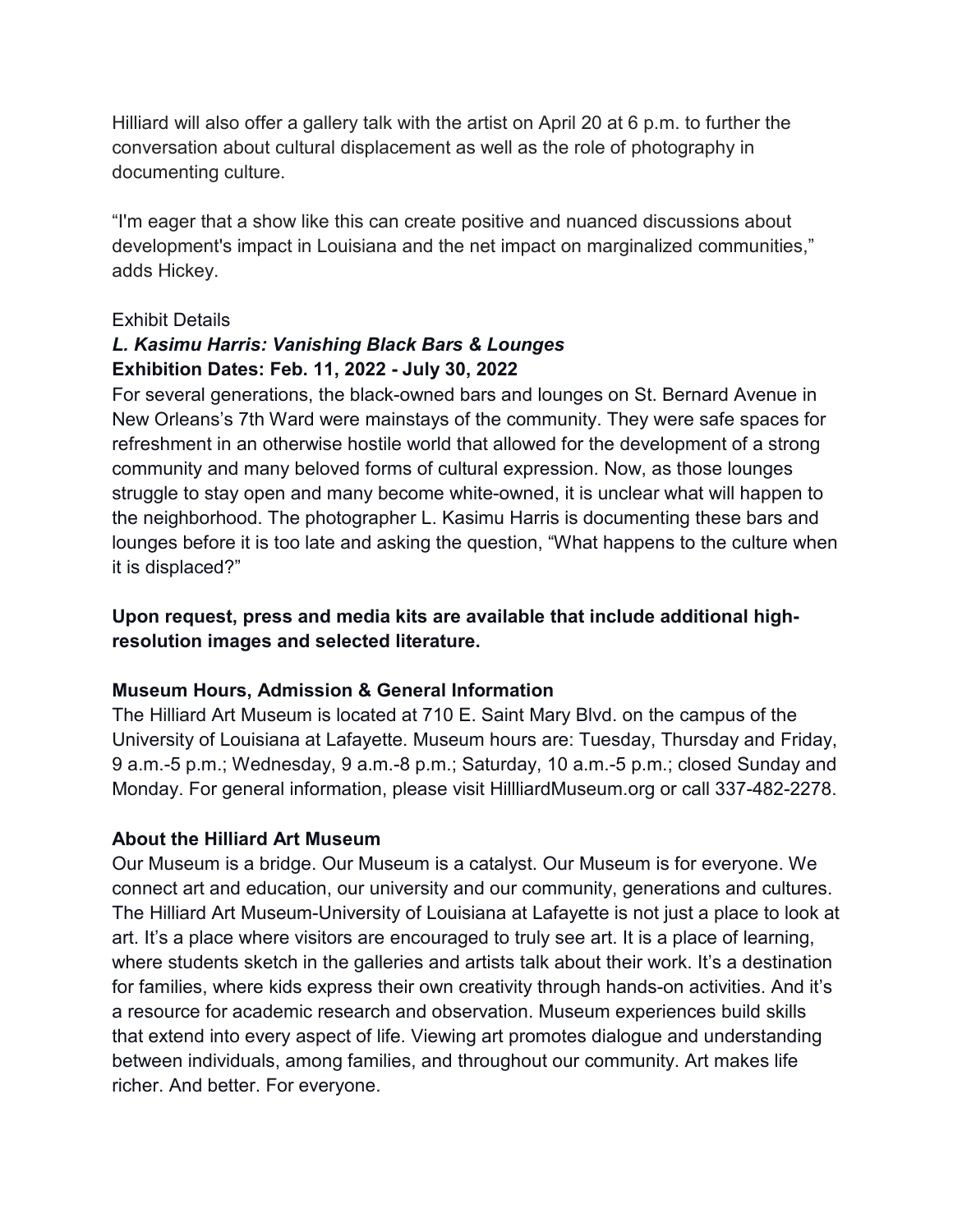Hilliard will also offer a gallery talk with the artist on April 20 at 6 p.m. to further the conversation about cultural displacement as well as the role of photography in documenting culture.

"I'm eager that a show like this can create positive and nuanced discussions about development's impact in Louisiana and the net impact on marginalized communities," adds Hickey.

#### Exhibit Details

# *L. Kasimu Harris: Vanishing Black Bars & Lounges* **Exhibition Dates: Feb. 11, 2022 - July 30, 2022**

For several generations, the black-owned bars and lounges on St. Bernard Avenue in New Orleans's 7th Ward were mainstays of the community. They were safe spaces for refreshment in an otherwise hostile world that allowed for the development of a strong community and many beloved forms of cultural expression. Now, as those lounges struggle to stay open and many become white-owned, it is unclear what will happen to the neighborhood. The photographer L. Kasimu Harris is documenting these bars and lounges before it is too late and asking the question, "What happens to the culture when it is displaced?"

## **Upon request, press and media kits are available that include additional highresolution images and selected literature.**

### **Museum Hours, Admission & General Information**

The Hilliard Art Museum is located at 710 E. Saint Mary Blvd. on the campus of the University of Louisiana at Lafayette. Museum hours are: Tuesday, Thursday and Friday, 9 a.m.-5 p.m.; Wednesday, 9 a.m.-8 p.m.; Saturday, 10 a.m.-5 p.m.; closed Sunday and Monday. For general information, please visit HillliardMuseum.org or call 337-482-2278.

### **About the Hilliard Art Museum**

Our Museum is a bridge. Our Museum is a catalyst. Our Museum is for everyone. We connect art and education, our university and our community, generations and cultures. The Hilliard Art Museum-University of Louisiana at Lafayette is not just a place to look at art. It's a place where visitors are encouraged to truly see art. It is a place of learning, where students sketch in the galleries and artists talk about their work. It's a destination for families, where kids express their own creativity through hands-on activities. And it's a resource for academic research and observation. Museum experiences build skills that extend into every aspect of life. Viewing art promotes dialogue and understanding between individuals, among families, and throughout our community. Art makes life richer. And better. For everyone.